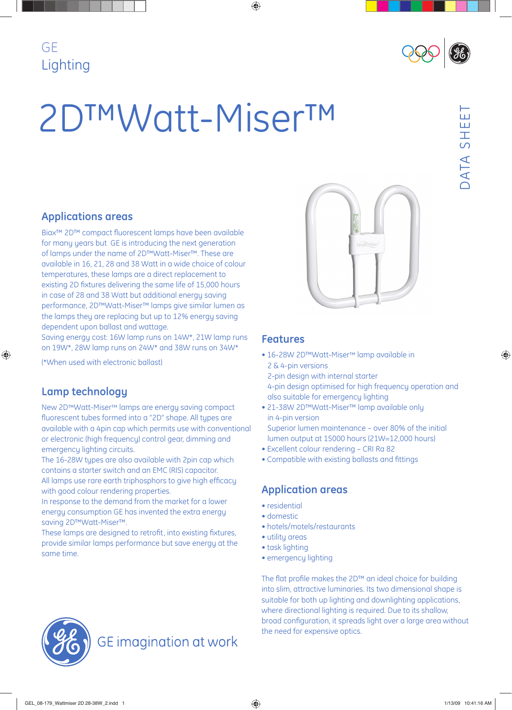# GE Lighting



# 2D™Watt-Miser™

## **Applications areas**

Biax<sup>™</sup> 2D™ compact fluorescent lamps have been available for many years but GE is introducing the next generation of lamps under the name of 2D™Watt-Miser™. These are available in 16, 21, 28 and 38 Watt in a wide choice of colour temperatures, these lamps are a direct replacement to existing 2D fixtures delivering the same life of 15,000 hours in case of 28 and 38 Watt but additional energy saving performance, 2D™Watt-Miser™ lamps give similar lumen as the lamps they are replacing but up to 12% energy saving dependent upon ballast and wattage.

Saving energy cost: 16W lamp runs on 14W\*, 21W lamp runs on 19W\*, 28W lamp runs on 24W\* and 38W runs on 34W\*

(\*When used with electronic ballast)

## **Lamp technology**

New 2D™Watt-Miser™ lamps are energy saving compact fluorescent tubes formed into a "2D" shape. All tupes are available with a 4pin cap which permits use with conventional or electronic (high frequency) control gear, dimming and emergency lighting circuits.

The 16-28W types are also available with 2pin cap which contains a starter switch and an EMC (RIS) capacitor. All lamps use rare earth triphosphors to give high efficacu with good colour rendering properties.

In response to the demand from the market for a lower energy consumption GE has invented the extra energy saving 2D™Watt-Miser™.

These lamps are designed to retrofit, into existing fixtures, provide similar lamps performance but save energy at the same time.



#### **Features**

- 16-28W 2D™Watt-Miser™ lamp available in 2 & 4-pin versions
- 2-pin design with internal starter 4-pin design optimised for high frequency operation and also suitable for emergency lighting
- 21-38W 2D™Watt-Miser™ lamp available only in 4-pin version Superior lumen maintenance – over 80% of the initial lumen output at 15000 hours (21W=12,000 hours)
- Excellent colour rendering CRI Ra 82
- Compatible with existing ballasts and fittings

## **Application areas**

- residential
- domestic
- hotels/motels/restaurants
- utility areas
- task lighting
- emergency lighting

The flat profile makes the 2D™ an ideal choice for building into slim, attractive luminaries. Its two dimensional shape is suitable for both up lighting and downlighting applications, where directional lighting is required. Due to its shallow, broad configuration, it spreads light over a large area without the need for expensive optics.



ய



**GE** imagination at work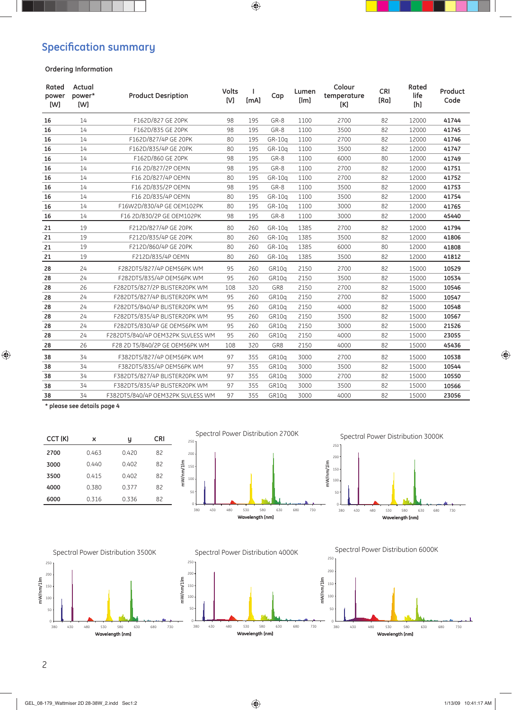## **Specification summary**

#### **Ordering Information**

| Rated<br>power<br>[W] | Actual<br>power*<br>[W] | <b>Product Desription</b>         | <b>Volts</b><br>[V] | [mA] | Cap    | Lumen<br>[Im] | Colour<br>temperature<br>[K] | <b>CRI</b><br>[Ra] | Rated<br>life<br>[h] | Product<br>Code |
|-----------------------|-------------------------|-----------------------------------|---------------------|------|--------|---------------|------------------------------|--------------------|----------------------|-----------------|
| 16                    | 14                      | F162D/827 GE 20PK                 | 98                  | 195  | GR-8   | 1100          | 2700                         | 82                 | 12000                | 41744           |
| 16                    | 14                      | F162D/835 GE 20PK                 | 98                  | 195  | GR-8   | 1100          | 3500                         | 82                 | 12000                | 41745           |
| 16                    | 14                      | F162D/827/4P GE 20PK              | 80                  | 195  | GR-10g | 1100          | 2700                         | 82                 | 12000                | 41746           |
| 16                    | 14                      | F162D/835/4P GE 20PK              | 80                  | 195  | GR-10a | 1100          | 3500                         | 82                 | 12000                | 41747           |
| 16                    | 14                      | F162D/860 GE 20PK                 | 98                  | 195  | GR-8   | 1100          | 6000                         | 80                 | 12000                | 41749           |
| 16                    | 14                      | F16 2D/827/2P OEMN                | 98                  | 195  | GR-8   | 1100          | 2700                         | 82                 | 12000                | 41751           |
| 16                    | 14                      | F16 2D/827/4P OEMN                | 80                  | 195  | GR-10g | 1100          | 2700                         | 82                 | 12000                | 41752           |
| 16                    | 14                      | F16 2D/835/2P OEMN                | 98                  | 195  | GR-8   | 1100          | 3500                         | 82                 | 12000                | 41753           |
| 16                    | 14                      | F16 2D/835/4P OEMN                | 80                  | 195  | GR-10g | 1100          | 3500                         | 82                 | 12000                | 41754           |
| 16                    | 14                      | F16W2D/830/4P GE OEM102PK         | 80                  | 195  | GR-10a | 1100          | 3000                         | 82                 | 12000                | 41765           |
| 16                    | 14                      | F16 2D/830/2P GE OEM102PK         | 98                  | 195  | GR-8   | 1100          | 3000                         | 82                 | 12000                | 45440           |
| 21                    | 19                      | F212D/827/4P GE 20PK              | 80                  | 260  | GR-10g | 1385          | 2700                         | 82                 | 12000                | 41794           |
| 21                    | 19                      | F212D/835/4P GE 20PK              | 80                  | 260  | GR-10a | 1385          | 3500                         | 82                 | 12000                | 41806           |
| 21                    | 19                      | F212D/860/4P GE 20PK              | 80                  | 260  | GR-10a | 1385          | 6000                         | 80                 | 12000                | 41808           |
| 21                    | 19                      | F212D/835/4P OEMN                 | 80                  | 260  | GR-10g | 1385          | 3500                         | 82                 | 12000                | 41812           |
| 28                    | 24                      | F282DT5/827/4P OEM56PK WM         | 95                  | 260  | GR10a  | 2150          | 2700                         | 82                 | 15000                | 10529           |
| 28                    | 24                      | F282DT5/835/4P OEM56PK WM         | 95                  | 260  | GR10g  | 2150          | 3500                         | 82                 | 15000                | 10534           |
| 28                    | 26                      | F282DT5/827/2P BLISTER20PK WM     | 108                 | 320  | GR8    | 2150          | 2700                         | 82                 | 15000                | 10546           |
| 28                    | 24                      | F282DT5/827/4P BLISTER20PK WM     | 95                  | 260  | GR10g  | 2150          | 2700                         | 82                 | 15000                | 10547           |
| 28                    | 24                      | F282DT5/840/4P BLISTER20PK WM     | 95                  | 260  | GR10g  | 2150          | 4000                         | 82                 | 15000                | 10548           |
| 28                    | 24                      | F282DT5/835/4P BLISTER20PK WM     | 95                  | 260  | GR10q  | 2150          | 3500                         | 82                 | 15000                | 10567           |
| 28                    | 24                      | F282DT5/830/4P GE OEM56PK WM      | 95                  | 260  | GR10g  | 2150          | 3000                         | 82                 | 15000                | 21526           |
| 28                    | 24                      | F282DT5/840/4P OEM32PK SLVLESS WM | 95                  | 260  | GR10g  | 2150          | 4000                         | 82                 | 15000                | 23055           |
| 28                    | 26                      | F28 2D T5/840/2P GE OEM56PK WM    | 108                 | 320  | GR8    | 2150          | 4000                         | 82                 | 15000                | 45436           |
| 38                    | 34                      | F382DT5/827/4P OEM56PK WM         | 97                  | 355  | GR10g  | 3000          | 2700                         | 82                 | 15000                | 10538           |
| 38                    | 34                      | F382DT5/835/4P OEM56PK WM         | 97                  | 355  | GR10g  | 3000          | 3500                         | 82                 | 15000                | 10544           |
| 38                    | 34                      | F382DT5/827/4P BLISTER20PK WM     | 97                  | 355  | GR10q  | 3000          | 2700                         | 82                 | 15000                | 10550           |
| 38                    | 34                      | F382DT5/835/4P BLISTER20PK WM     | 97                  | 355  | GR10g  | 3000          | 3500                         | 82                 | 15000                | 10566           |
| 38                    | 34                      | F382DT5/840/4P OEM32PK SLVLESS WM | 97                  | 355  | GR10g  | 3000          | 4000                         | 82                 | 15000                | 23056           |

**\* please see details page 4**



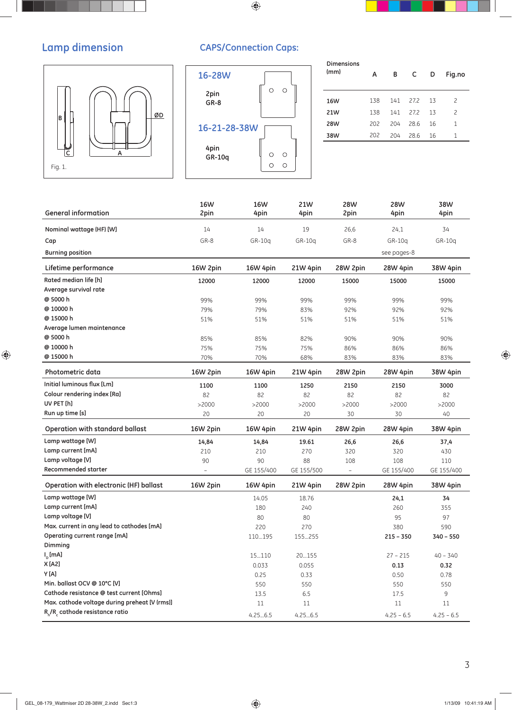# **Lamp dimension**



## **CAPS/Connection Caps:**



J.

| <b>Dimensions</b><br>(mm) | А   | в   | C     | D  | Fig.no |
|---------------------------|-----|-----|-------|----|--------|
| 16W                       | 138 | 141 | 272   | 13 | 2      |
| 21W                       | 138 | 141 | 272   | 13 | 2      |
| <b>28W</b>                | 202 | 204 | 286   | 16 | 1      |
| 38W                       | 202 | 204 | -28.6 | 16 | 1      |
|                           |     |     |       |    |        |

| <b>General information</b>                    | <b>16W</b><br>2pin       | <b>16W</b><br>4pin | 21W<br>4pin | 28W<br>2pin    | <b>28W</b><br>4pin | 38W<br>4pin  |
|-----------------------------------------------|--------------------------|--------------------|-------------|----------------|--------------------|--------------|
|                                               |                          |                    |             |                |                    |              |
| Nominal wattage (HF) [W]                      | 14                       | 14                 | 19          | 26,6           | 24,1               | 34           |
| Cap                                           | GR-8                     | $GR-10q$           | $GR-10q$    | GR-8           | GR-10g             | GR-10q       |
| <b>Burning position</b>                       |                          |                    |             |                | see pages-8        |              |
| Lifetime performance                          | 16W 2pin                 | 16W 4pin           | 21W 4pin    | 28W 2pin       | 28W 4pin           | 38W 4pin     |
| Rated median life [h]                         | 12000                    | 12000              | 12000       | 15000          | 15000              | 15000        |
| Average survival rate                         |                          |                    |             |                |                    |              |
| @ 5000 h                                      | 99%                      | 99%                | 99%         | 99%            | 99%                | 99%          |
| @ 10000 h                                     | 79%                      | 79%                | 83%         | 92%            | 92%                | 92%          |
| @ 15000 h                                     | 51%                      | 51%                | 51%         | 51%            | 51%                | 51%          |
| Average lumen maintenance                     |                          |                    |             |                |                    |              |
| @ 5000 h                                      | 85%                      | 85%                | 82%         | 90%            | 90%                | 90%          |
| @ 10000 h                                     | 75%                      | 75%                | 75%         | 86%            | 86%                | 86%          |
| @ 15000 h                                     | 70%                      | 70%                | 68%         | 83%            | 83%                | 83%          |
| Photometric data                              | 16W 2pin                 | 16W 4pin           | 21W 4pin    | 28W 2pin       | 28W 4pin           | 38W 4pin     |
| Initial luminous flux [Lm]                    | 1100                     | 1100               | 1250        | 2150           | 2150               | 3000         |
| Colour rendering index [Ra]                   | 82                       | 82                 | 82          | 82             | 82                 | 82           |
| UV PET [h]                                    | >2000                    | >2000              | >2000       | >2000          | >2000              | >2000        |
| Run up time [s]                               | 20                       | 20                 | 20          | 30             | 30                 | 40           |
| Operation with standard ballast               | 16W 2pin                 | 16W 4pin           | 21W 4pin    | 28W 2pin       | 28W 4pin           | 38W 4pin     |
| Lamp wattage [W]                              | 14,84                    | 14,84              | 19.61       | 26,6           | 26,6               | 37,4         |
| Lamp current [mA]                             | 210                      | 210                | 270         | 320            | 320                | 430          |
| Lamp voltage [V]                              | 90                       | 90                 | 88          | 108            | 108                | 110          |
| <b>Recommended starter</b>                    | $\overline{\phantom{a}}$ | GE 155/400         | GE 155/500  | $\overline{a}$ | GE 155/400         | GE 155/400   |
| <b>Operation with electronic (HF) ballast</b> | 16W 2pin                 | 16W 4pin           | 21W 4pin    | 28W 2pin       | 28W 4pin           | 38W 4pin     |
| Lamp wattage [W]                              |                          | 14.05              | 18.76       |                | 24,1               | 34           |
| Lamp current [mA]                             |                          | 180                | 240         |                | 260                | 355          |
| Lamp voltage [V]                              |                          | 80                 | 80          |                | 95                 | 97           |
| Max. current in any lead to cathodes [mA]     |                          | 220                | 270         |                | 380                | 590          |
| Operating current range [mA]                  |                          | 110195             | 155255      |                | $215 - 350$        | $340 - 550$  |
| Dimming                                       |                          |                    |             |                |                    |              |
| $I_n$ [mA]                                    |                          | 15110              | 20155       |                | $27 - 215$         | $40 - 340$   |
| X [A2]                                        |                          | 0.033              | 0.055       |                | 0.13               | 0.32         |
| Y [A]                                         |                          | 0.25               | 0.33        |                | 0.50               | 0.78         |
| Min. ballast OCV @ 10°C [V]                   |                          | 550                | 550         |                | 550                | 550          |
| Cathode resistance @ test current [Ohms]      |                          | 13.5               | 6.5         |                | 17.5               | 9            |
| Max. cathode voltage during preheat [V (rms)] |                          | 11                 | 11          |                | 11                 | 11           |
| $R_h/R_c$ cathode resistance ratio            |                          | 4.256.5            | 4.256.5     |                | $4.25 - 6.5$       | $4.25 - 6.5$ |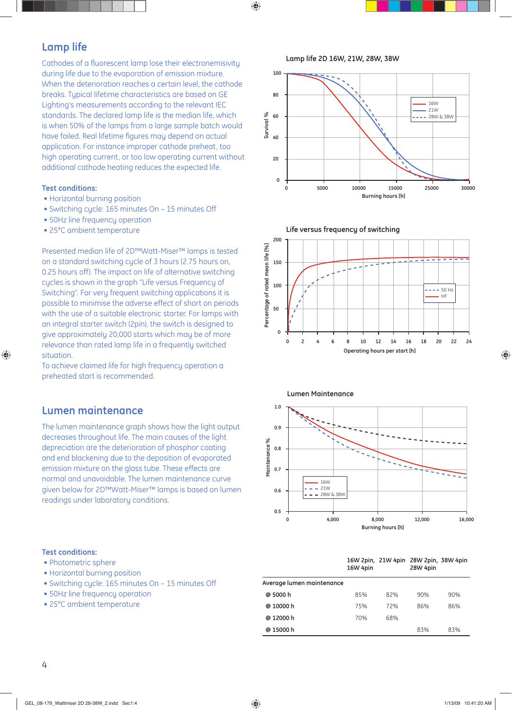## **Lamp life**

Cathodes of a fluorescent lamp lose their electronemisivity during life due to the evaporation of emission mixture. When the deterioration reaches a certain level, the cathode breaks. Typical lifetime characteristics are based on GE Lighting's measurements according to the relevant IEC standards. The declared lamp life is the median life, which is when 50% of the lamps from a large sample batch would have failed. Real lifetime figures may depend on actual application. For instance improper cathode preheat, too high operating current, or too low operating current without additional cathode heating reduces the expected life.

#### **Test conditions:**

- Horizontal burning position
- Switching cycle: 165 minutes On 15 minutes Off
- 50Hz line frequency operation
- 25°C ambient temperature

Presented median life of 2D™Watt-Miser™ lamps is tested on a standard switching cycle of 3 hours (2.75 hours on, 0.25 hours off). The impact on life of alternative switching cycles is shown in the graph "Life versus Frequency of Switching". For very frequent switching applications it is possible to minimise the adverse effect of short on periods with the use of a suitable electronic starter. For lamps with an integral starter switch (2pin), the switch is designed to give approximately 20,000 starts which may be of more relevance than rated lamp life in a frequently switched situation.

To achieve claimed life for high frequency operation a preheated start is recommended.

#### **Lumen maintenance**

The lumen maintenance graph shows how the light output decreases throughout life. The main causes of the light depreciation are the deterioration of phosphor coating and end blackening due to the deposition of evaporated emission mixture on the glass tube. These effects are normal and unavoidable. The lumen maintenance curve given below for 2D™Watt-Miser™ lamps is based on lumen readings under laboratory conditions.

#### **Test conditions:**

- Photometric sphere
- Horizontal burning position
- Switching cycle: 165 minutes On 15 minutes Off
- 50Hz line frequency operation
- 25°C ambient temperature

**Lamp life 2D 16W, 21W, 28W, 38W**









|                           | 16W 4pin |     | 16W 2pin, 21W 4pin 28W 2pin, 38W 4pin<br>28W 4pin |     |
|---------------------------|----------|-----|---------------------------------------------------|-----|
| Average lumen maintenance |          |     |                                                   |     |
| @ 5000 h                  | 85%      | 82% | 90%                                               | 90% |
| @ 10000 h                 | 75%      | 72% | 86%                                               | 86% |

**@ 15000 h** 83% 83% 83%

**@ 12000 h** 70% 68%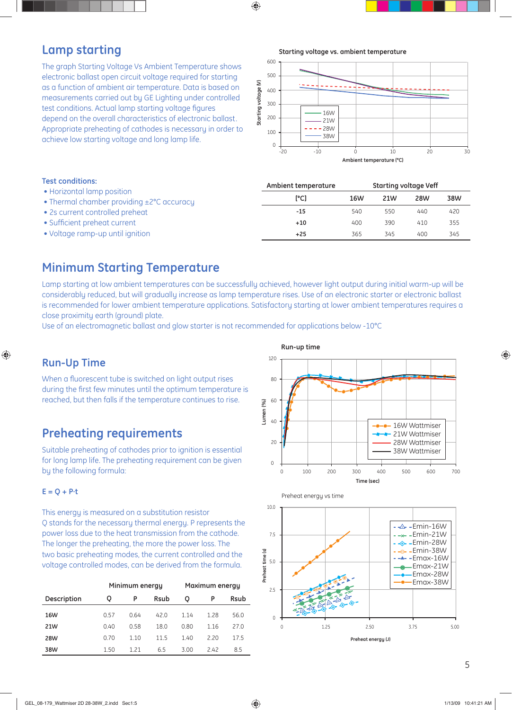## **Lamp starting**

The graph Starting Voltage Vs Ambient Temperature shows electronic ballast open circuit voltage required for starting as a function of ambient air temperature. Data is based on measurements carried out by GE Lighting under controlled test conditions. Actual lamp starting voltage figures depend on the overall characteristics of electronic ballast. Appropriate preheating of cathodes is necessary in order to achieve low starting voltage and long lamp life.

**Starting voltage vs. ambient temperature**



| <b>Test conditions:</b>                                                              | Ambient temperature |     | <b>Starting voltage Veff</b> |            |     |  |
|--------------------------------------------------------------------------------------|---------------------|-----|------------------------------|------------|-----|--|
| • Horizontal lamp position<br>• Thermal chamber providing $\pm 2^{\circ}$ C accuracy | [°C]                | 16W | 21W                          | <b>28W</b> | 38W |  |
| • 2s current controlled preheat                                                      | $-15$               | 540 | 550                          | 440        | 420 |  |
| • Sufficient preheat current                                                         | $+10$               | 400 | 390                          | 410        | 355 |  |
| • Voltage ramp-up until ignition                                                     | $+25$               | 365 | 345                          | 400        | 345 |  |

#### Lamp starting at low ambient temperatures can be defined as  $\tau$ **Minimum Starting Temperature**

Lamp starting at low ambient temperatures can be successfully achieved, however light output during initial warm-up will be considerably reduced, but will gradually increase as lamp temperature rises. Use of an electronic starter or electronic ballast is recommended for lower ambient temperature applications. Satisfactory starting at lower ambient temperatures requires a close proximity earth (ground) plate.

Use of an electromagnetic ballast and glow starter is not recommended for applications below -10°C

## **Run-Up Time**

When a fluorescent tube is switched on light output rises during the first few minutes until the optimum temperature is reached, but then falls if the temperature continues to rise.

## **Preheating requirements**

Suitable preheating of cathodes prior to ignition is essential for long lamp life. The preheating requirement can be given by the following formula:

#### **E = Q + P·t**

This energy is measured on a substitution resistor Q stands for the necessary thermal energy. P represents the power loss due to the heat transmission from the cathode. The longer the preheating, the more the power loss. The two basic preheating modes, the current controlled and the voltage controlled modes, can be derived from the formula.

|             |      | Minimum energy |             | Maximum energy |      |             |  |
|-------------|------|----------------|-------------|----------------|------|-------------|--|
| Description | Q    | P              | <b>Rsub</b> | o              | P    | <b>Rsub</b> |  |
| 16W         | 0.57 | 0.64           | 420         | 1.14           | 1.28 | 56.0        |  |
| 21W         | 0.40 | 0.58           | 18.0        | 0.80           | 1.16 | 27.0        |  |
| <b>28W</b>  | 0.70 | 1.10           | 115         | 1.40           | 2.20 | 17.5        |  |
| 38W         | 1.50 | 1 21           | 6.5         | 3.00           | 2.42 | 8.5         |  |







**Preheat energy (J)**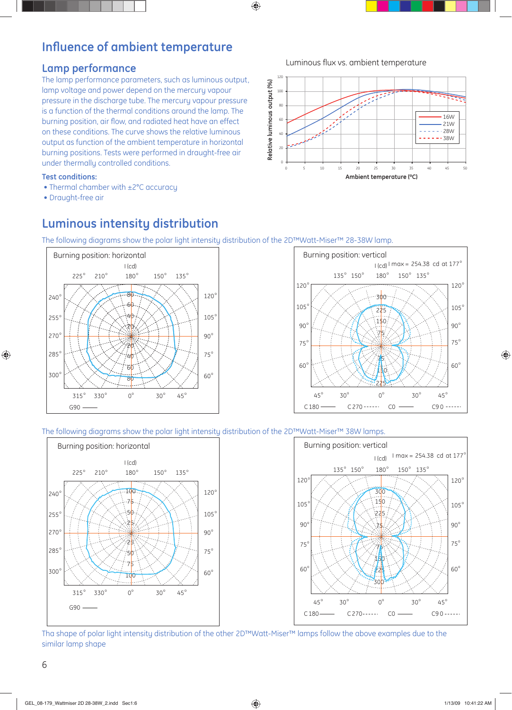# **Influence of ambient temperature**

#### **Lamp performance**

The lamp performance parameters, such as luminous output, lamp voltage and power depend on the mercury vapour pressure in the discharge tube. The mercury vapour pressure is a function of the thermal conditions around the lamp. The burning position, air flow, and radiated heat have an effect on these conditions. The curve shows the relative luminous output as function of the ambient temperature in horizontal burning positions. Tests were performed in draught-free air under thermally controlled conditions.

#### **Test conditions:**

- Thermal chamber with ±2°C accuracy
- Draught-free air

# **Luminous intensity distribution**

The following diagrams show the polar light intensity distribution of the 2D™Watt-Miser™ 28-38W lamp.





#### The following diagrams show the polar light intensity distribution of the 2D™Watt-Miser™ 38W lamps.



Tha shape of polar light intensity distribution of the other 2D™Watt-Miser™ lamps follow the above examples due to the similar lamp shape

Luminous flux vs. ambient temperature

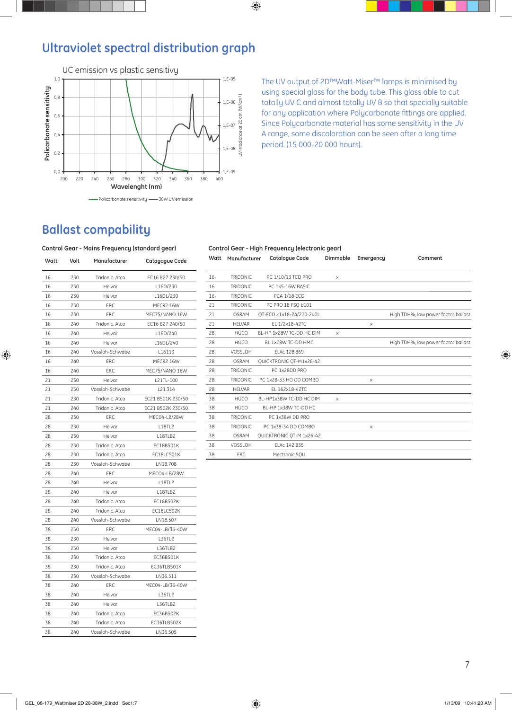# **Ultraviolet spectral distribution graph**



The UV output of 2D™Watt-Miser™ lamps is minimised by using special glass for the body tube. This glass able to cut totally UV C and almost totally UV B so that specially suitable for any application where Polycarbonate fittings are applied. Since Polycarbonate material has some sensitivity in the UV A range, some discoloration can be seen after a long time period. (15 000-20 000 hours).

# **Ballast compability**

#### **Control Gear - Mains Frequency (standard gear)**

| Watt | Volt | Manufacturer    | Catagogue Code    |
|------|------|-----------------|-------------------|
| 16   | 230  | Tridonic, Atco  | EC16 B27 230/50   |
| 16   | 230  | Helvar          | L16D/230          |
| 16   | 230  | Helvar          | L16DL/230         |
| 16   | 230  | ERC             | MEC92 16W         |
| 16   | 230  | ERC             | MEC75/NANO 16W    |
| 16   | 240  | Tridonic. Atco  | EC16 B27 240/50   |
| 16   | 240  | Helvar          | L16D/240          |
| 16   | 240  | Helvar          | L16DL/240         |
| 16   | 240  | Vossloh-Schwabe | L16113            |
| 16   | 240  | ERC             | MEC92 16W         |
| 16   | 240  | ERC             | MEC75/NANO 16W    |
| 21   | 230  | Helvar          | L21TL-100         |
| 21   | 230  | Vossloh-Schwabe | L21.314           |
| 21   | 230  | Tridonic. Atco  | EC21 B501K 230/50 |
| 21   | 240  | Tridonic. Atco  | EC21 B502K 230/50 |
| 28   | 230  | ERC             | MEC04-LB/28W      |
| 28   | 230  | Helvar          | <b>L18TL2</b>     |
| 28   | 230  | Helvar          | L18TLB2           |
| 28   | 230  | Tridonic. Atco  | EC18B501K         |
| 28   | 230  | Tridonic. Atco  | EC18LC501K        |
| 28   | 230  | Vossloh-Schwabe | LN18.708          |
| 28   | 240  | ERC             | MECO4-LB/28W      |
| 28   | 240  | Helvar          | <b>L18TL2</b>     |
| 28   | 240  | Helvar          | L18TLB2           |
| 28   | 240  | Tridonic. Atco  | EC18B502K         |
| 28   | 240  | Tridonic, Atco  | <b>EC18LC502K</b> |
| 28   | 240  | Vossloh-Schwabe | LN18.507          |
| 38   | 230  | ERC             | MEC04-LB/36-40W   |
| 38   | 230  | Helvar          | L36TL2            |
| 38   | 230  | Helvar          | L36TLB2           |
| 38   | 230  | Tridonic. Atco  | EC36B501K         |
| 38   | 230  | Tridonic. Atco  | EC36TLB501K       |
| 38   | 230  | Vossloh-Schwabe | LN36.511          |
| 38   | 240  | ERC             | MEC04-LB/36-40W   |
| 38   | 240  | Helvar          | L36TL2            |
| 38   | 240  | Helvar          | L36TLB2           |
| 38   | 240  | Tridonic. Atco  | EC36B502K         |
| 38   | 240  | Tridonic. Atco  | EC36TLB502K       |
| 38   | 240  | Vossloh-Schwabe | LN36.505          |

#### **Control Gear - High Frequency (electronic gear)**

| Watt | Manufacturer    | <b>Catalogue Code</b>    | Dimmable | Emergency | Comment                             |
|------|-----------------|--------------------------|----------|-----------|-------------------------------------|
| 16   | <b>TRIDONIC</b> | PC 1/10/13 TCD PRO       | X        |           |                                     |
| 16   | TRIDONIC.       | PC 1x5-16W BASIC         |          |           |                                     |
| 16   | <b>TRIDONIC</b> | <b>PCA 1/18 ECO</b>      |          |           |                                     |
| 21   | <b>TRIDONIC</b> | PC PRO 18 FSO b101       |          |           |                                     |
| 21   | OSRAM           | OT-ECO x1x18-24/220-240L |          |           | High TDH%, low power factor ballast |
| 21   | <b>HELVAR</b>   | EL 1/2x18-42TC           |          | X         |                                     |
| 28   | HÜCO            | BL-HP 1x28W TC-DD HC DIM | X        |           |                                     |
| 28   | HÜCO            | BL 1x28W TC-DD HMC       |          |           | High TDH%, low power factor ballast |
| 28   | VOSSLOH         | ELXc 128.869             |          |           |                                     |
| 28   | <b>OSRAM</b>    | QUICKTRONIC OT-M1x26-42  |          |           |                                     |
| 28   | <b>TRIDONIC</b> | PC 1x28DD PRO            |          |           |                                     |
| 28   | <b>TRIDONIC</b> | PC 1x28-33 HO DD COMBO   |          | X         |                                     |
| 28   | <b>HELVAR</b>   | EL 162x18-42TC           |          |           |                                     |
| 38   | HÜCO            | BL-HP1x38W TC-DD HC DIM  | $\times$ |           |                                     |
| 38   | HÜCO            | BL-HP 1x38W TC-DD HC     |          |           |                                     |
| 38   | <b>TRIDONIC</b> | PC 1x38W DD PRO          |          |           |                                     |
| 38   | <b>TRIDONIC</b> | PC 1x38-34 DD COMBO      |          | X         |                                     |
| 38   | <b>OSRAM</b>    | QUICKTRONIC OT-M 1x26-42 |          |           |                                     |
| 38   | VOSSLOH         | ELXc 142.835             |          |           |                                     |
| 38   | ERC             | Mectronic SOU            |          |           |                                     |